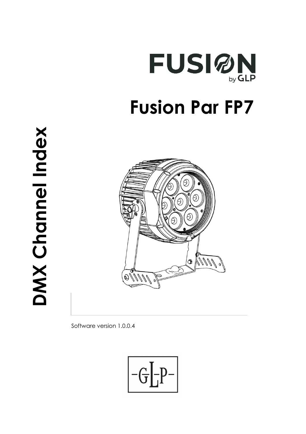

# **DMX Channel Index**  DMX Channel Index



Software version 1.0.0.4

$$
\boxed{-G\boxed{-P^-}}
$$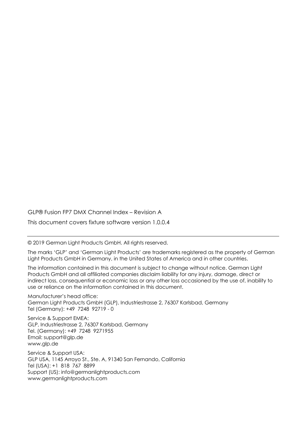GLP® Fusion FP7 DMX Channel Index – Revision A

This document covers fixture software version 1.0.0.4

© 2019 German Light Products GmbH. All rights reserved.

The marks 'GLP' and 'German Light Products' are trademarks registered as the property of German Light Products GmbH in Germany, in the United States of America and in other countries.

The information contained in this document is subject to change without notice. German Light Products GmbH and all affiliated companies disclaim liability for any injury, damage, direct or indirect loss, consequential or economic loss or any other loss occasioned by the use of, inability to use or reliance on the information contained in this document.

Manufacturer's head office: German Light Products GmbH (GLP), Industriestrasse 2, 76307 Karlsbad, Germany Tel (Germany): +49 7248 92719 - 0

Service & Support EMEA: GLP, Industriestrasse 2, 76307 Karlsbad, Germany Tel. (Germany): +49 7248 9271955 Email: support@glp.de www.glp.de

Service & Support USA: GLP USA, 1145 Arroyo St., Ste. A, 91340 San Fernando, California Tel (USA): +1 818 767 8899 Support (US): info@germanlightproducts.com www.germanlightproducts.com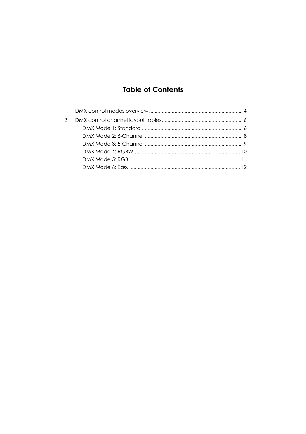# **Table of Contents**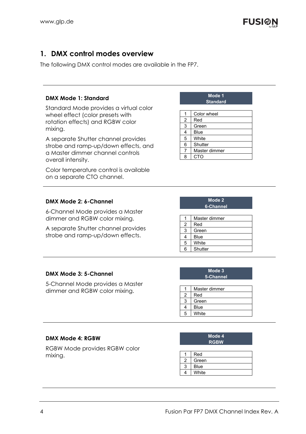## **1. DMX control modes overview**

The following DMX control modes are available in the FP7.

#### **DMX Mode 1: Standard**

Standard Mode provides a virtual color wheel effect (color presets with rotation effects) and RGBW color mixing.

A separate Shutter channel provides strobe and ramp-up/down effects, and a Master dimmer channel controls overall intensity.

Color temperature control is available on a separate CTO channel.

#### **DMX Mode 2: 6-Channel**

6-Channel Mode provides a Master dimmer and RGBW color mixing.

A separate Shutter channel provides strobe and ramp-up/down effects.

| <b>Standard</b> |               |  |  |  |
|-----------------|---------------|--|--|--|
|                 |               |  |  |  |
| 1               | Color wheel   |  |  |  |
| 2               | Red           |  |  |  |
| 3               | Green         |  |  |  |
| 4               | Blue          |  |  |  |
| 5               | White         |  |  |  |
| 6               | Shutter       |  |  |  |
| 7               | Master dimmer |  |  |  |
| 8               | сто           |  |  |  |

**Mode 1 Mode 1** 

| Mode 2    |
|-----------|
| 6-Channel |

|                | Master dimmer |  |
|----------------|---------------|--|
| $\overline{2}$ | Red           |  |
| 3              | Green         |  |
| 4              | Blue          |  |
| 5              | White         |  |
| 6              | Shutter       |  |

#### **DMX Mode 3: 5-Channel**

5-Channel Mode provides a Master dimmer and RGBW color mixing.

#### **Mode 3 5-Channel**

|   | Master dimmer |
|---|---------------|
| 2 | Red           |
| 3 | Green         |
|   | Blue          |
| 5 | White         |

#### **DMX Mode 4: RGBW**

RGBW Mode provides RGBW color mixing.

| Mode 4      |  |
|-------------|--|
| <b>RGBW</b> |  |

|   | Red         |
|---|-------------|
| າ | Green       |
| 3 | <b>Blue</b> |
|   | White       |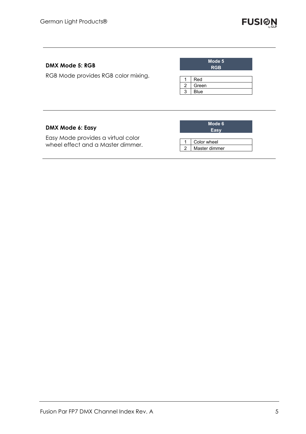

### **DMX Mode 5: RGB**

RGB Mode provides RGB color mixing.

| Mode 5<br><b>RGB</b> |       |  |  |  |  |
|----------------------|-------|--|--|--|--|
|                      |       |  |  |  |  |
|                      | Red   |  |  |  |  |
| 2                    | Green |  |  |  |  |
| 3                    | Blue  |  |  |  |  |

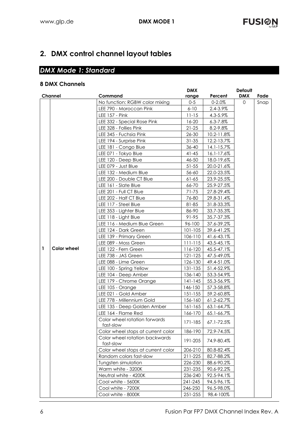# **2. DMX control channel layout tables**

# *DMX Mode 1: Standard*

## **8 DMX Channels**

|              |                    |                                             | <b>DMX</b>  |                | <b>Default</b> |      |
|--------------|--------------------|---------------------------------------------|-------------|----------------|----------------|------|
| Channel      |                    | Command                                     | range       | Percent        | <b>DMX</b>     | Fade |
|              |                    | No function: RGBW color mixing              | $0-5$       | $0 - 2.0%$     | $\mathbf{O}$   | Snap |
|              |                    | LEE 790 - Moroccan Pink                     | $6 - 10$    | 2.4-3.9%       |                |      |
|              |                    | <b>LEE 157 - Pink</b>                       | $11 - 15$   | 4.3-5.9%       |                |      |
|              |                    | LEE 332 - Special Rose Pink                 | $16-20$     | $6.3 - 7.8\%$  |                |      |
|              |                    | LEE 328 - Follies Pink                      | $21 - 25$   | 8.2-9.8%       |                |      |
|              |                    | LEE 345 - Fuchsia Pink                      | 26-30       | 10.2-11.8%     |                |      |
|              |                    | LEE 194 - Surprise Pink                     | $31 - 35$   | 12.2-13.7%     |                |      |
|              |                    | LEE 181 - Congo Blue                        | $36 - 40$   | $14.1 - 15.7%$ |                |      |
|              |                    | LEE 071 - Tokyo Blue                        | $41 - 45$   | 16.1-17.6%     |                |      |
|              |                    | LEE 120 - Deep Blue                         | 46-50       | 18.0-19.6%     |                |      |
|              |                    | LEE 079 - Just Blue                         | $51 - 55$   | 20.0-21.6%     |                |      |
|              |                    | LEE 132 - Medium Blue                       | 56-60       | 22.0-23.5%     |                |      |
|              |                    | LEE 200 - Double CT Blue                    | $61 - 65$   | 23.9-25.5%     |                |      |
|              |                    | LEE 161 - Slate Blue                        | 66-70       | 25.9-27.5%     |                |      |
|              |                    | LEE 201 - Full CT Blue                      | 71-75       | 27.8-29.4%     |                |      |
|              |                    | LEE 202 - Half CT Blue                      | 76-80       | 29.8-31.4%     |                |      |
|              |                    | LEE 117 - Steel Blue                        | 81-85       | 31.8-33.3%     |                |      |
|              |                    | LEE 353 - Lighter Blue                      | 86-90       | 33.7-35.3%     |                |      |
|              |                    | LEE 118 - Light Blue                        | 91-95       | 35.7-37.3%     |                |      |
|              |                    | LEE 116 - Medium Blue Green                 | 96-100      | 37.6-39.2%     |                |      |
|              |                    | LEE 124 - Dark Green                        | 101-105     | 39.6-41.2%     |                |      |
|              |                    | LEE 139 - Primary Green                     | 106-110     | 41.6-43.1%     |                |      |
|              |                    | LEE 089 - Moss Green                        | $111 - 115$ | 43.5-45.1%     |                |      |
| $\mathbf{1}$ | <b>Color wheel</b> | LEE 122 - Fern Green                        | 116-120     | 45.5-47.1%     |                |      |
|              |                    | LEE 738 - JAS Green                         | 121-125     | 47.5-49.0%     |                |      |
|              |                    | LEE 088 - Lime Green                        | 126-130     | 49.4-51.0%     |                |      |
|              |                    | LEE 100 - Spring Yellow                     | 131-135     | 51.4-52.9%     |                |      |
|              |                    | LEE 104 - Deep Amber                        | 136-140     | 53.3-54.9%     |                |      |
|              |                    | LEE 179 - Chrome Orange                     | $141 - 145$ | 55.3-56.9%     |                |      |
|              |                    | LEE 105 - Orange                            | 146-150     | 57.3-58.8%     |                |      |
|              |                    | LEE 021 - Gold Amber                        | $151 - 155$ | 59.2-60.8%     |                |      |
|              |                    | LEE 778 - Millennium Gold                   | 156-160     | 61.2-62.7%     |                |      |
|              |                    | LEE 135 - Deep Golden Amber                 | $161 - 165$ | 63.1-64.7%     |                |      |
|              |                    | LEE 164 - Flame Red                         | 166-170     | 65.1-66.7%     |                |      |
|              |                    | Color wheel rotation forwards<br>fast-slow  | 171-185     | 67.1-72.5%     |                |      |
|              |                    | Color wheel stops at current color          | 186-190     | 72.9-74.5%     |                |      |
|              |                    | Color wheel rotation backwards<br>fast-slow | 191-205     | 74.9-80.4%     |                |      |
|              |                    | Color wheel stops at current color          | 206-210     | 80.8-82.4%     |                |      |
|              |                    | Random colors fast-slow                     | 211-225     | 82.7-88.2%     |                |      |
|              |                    | Tungsten simulation                         | 226-230     | 88.6-90.2%     |                |      |
|              |                    | Warm white - 3200K                          | 231-235     | 90.6-92.2%     |                |      |
|              |                    | Neutral white - 4200K                       | 236-240     | 92.5-94.1%     |                |      |
|              |                    | Cool white - 5600K                          | 241-245     | 94.5-96.1%     |                |      |
|              |                    | Cool white - 7200K                          | 246-250     | 96.5-98.0%     |                |      |
|              |                    | Cool white - 8000K                          | 251-255     | 98.4-100%      |                |      |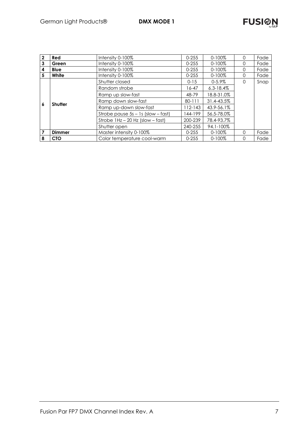| $\mathbf{2}$                                                | Red                                      | Intensity 0-100%                             |             | $0 - 100\%$    | 0        | Fade |
|-------------------------------------------------------------|------------------------------------------|----------------------------------------------|-------------|----------------|----------|------|
| 3                                                           | Intensity 0-100%<br>Green                |                                              | $0 - 255$   | $0 - 100\%$    | O        | Fade |
| 4                                                           | Intensity 0-100%<br><b>Blue</b>          |                                              | $0 - 255$   | $0 - 100\%$    | O        | Fade |
| 5                                                           | White                                    | Intensity 0-100%<br>$0 - 255$<br>$0 - 100\%$ |             | $\Omega$       | Fade     |      |
|                                                             |                                          | Shutter closed                               | $0 - 15$    | $0 - 5.9%$     | $\Omega$ | Snap |
|                                                             | <b>Shutter</b>                           | Random strobe                                | 16-47       | $6.3 - 18.4\%$ |          |      |
| 6                                                           |                                          | Ramp up slow-fast                            | 48-79       | 18.8-31.0%     |          |      |
|                                                             |                                          | Ramp down slow-fast                          | 80-111      | 31.4-43.5%     |          |      |
|                                                             |                                          | Ramp up-down slow-fast                       | $112 - 143$ | 43.9-56.1%     |          |      |
|                                                             |                                          | Strobe pause $5s - 1s$ (slow $-$ fast)       | 144-199     | 56.5-78.0%     |          |      |
|                                                             |                                          | Strobe $1Hz - 20 Hz$ (slow $-$ fast)         | 200-239     | 78.4-93.7%     |          |      |
|                                                             |                                          | Shutter open                                 | 240-255     | 94.1-100%      |          |      |
| $\overline{7}$                                              | Master intensity 0-100%<br><b>Dimmer</b> |                                              | $0 - 255$   | $0 - 100\%$    | $\Omega$ | Fade |
| Color temperature cool-warm<br>8<br><b>CTO</b><br>$0 - 255$ |                                          | $0 - 100\%$                                  | $\Omega$    | Fade           |          |      |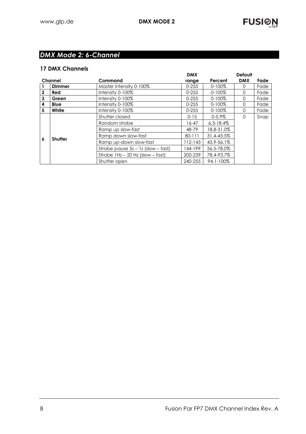## *DMX Mode 2: 6-Channel*

#### **17 DMX Channels**

|                                          |                |                                        | <b>DMX</b>  |                | <b>Default</b> |      |
|------------------------------------------|----------------|----------------------------------------|-------------|----------------|----------------|------|
| Channel                                  |                | Command                                | range       | Percent        | <b>DMX</b>     | Fade |
| Master intensity 0-100%<br><b>Dimmer</b> |                |                                        | $0 - 255$   | $0 - 100\%$    | $\left($       | Fade |
| $\mathbf{2}$                             | <b>Red</b>     | Intensity 0-100%                       | $0 - 255$   | $0 - 100\%$    | $\Omega$       | Fade |
| 3                                        | Green          | Intensity 0-100%                       | $0 - 255$   | $0 - 100\%$    | $\Omega$       | Fade |
| 4                                        | <b>Blue</b>    | Intensity 0-100%                       | $0 - 255$   | $0 - 100\%$    | $\Omega$       | Fade |
| 5                                        | White          | Intensity 0-100%                       | $0 - 255$   | $0 - 100\%$    | $\Omega$       | Fade |
| 6                                        | <b>Shutter</b> | Shutter closed                         | $0 - 15$    | $0 - 5.9\%$    | $\Omega$       | Snap |
|                                          |                | Random strobe                          | 16-47       | $6.3 - 18.4\%$ |                |      |
|                                          |                | Ramp up slow-fast                      | 48-79       | 18.8-31.0%     |                |      |
|                                          |                | Ramp down slow-fast                    | 80-111      | 31.4-43.5%     |                |      |
|                                          |                | Ramp up-down slow-fast                 | $112 - 143$ | 43.9-56.1%     |                |      |
|                                          |                | Strobe pause $5s - 1s$ (slow $-$ fast) | 144-199     | 56.5-78.0%     |                |      |
|                                          |                | Strobe $1Hz - 20 Hz$ (slow $-$ fast)   | 200-239     | 78.4-93.7%     |                |      |
|                                          |                | Shutter open                           | 240-255     | 94.1-100%      |                |      |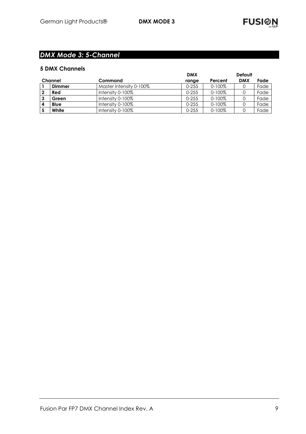## *DMX Mode 3: 5-Channel*

|  |  | <b>5 DMX Channels</b> |
|--|--|-----------------------|
|--|--|-----------------------|

|         |               |                         | <b>DMX</b><br><b>Default</b> |             |            |      |
|---------|---------------|-------------------------|------------------------------|-------------|------------|------|
| Channel |               | Command                 | range                        | Percent     | <b>DMX</b> | Fade |
|         | <b>Dimmer</b> | Master intensity 0-100% | $0 - 255$                    | $0 - 100\%$ |            | Fade |
| 2       | Red           | Intensity $0-100\%$     | $0 - 255$                    | $0 - 100\%$ |            | Fade |
| 3       | Green         | Intensity $0-100\%$     | $0 - 255$                    | $0 - 100\%$ |            | Fade |
| 4       | <b>Blue</b>   | Intensity $0-100\%$     | $0 - 255$                    | $0 - 100\%$ |            | Fade |
|         | White         | Intensity $0-100\%$     | $0 - 255$                    | $0 - 100\%$ |            | Fade |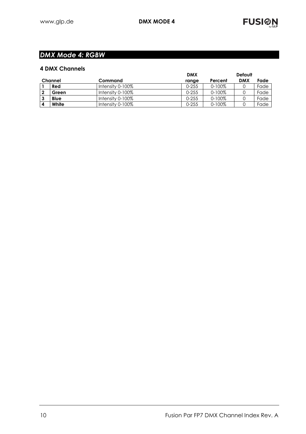## *DMX Mode 4: RGBW*

|                | <b>4 DMX Channels</b> |                  |            |             |                |      |
|----------------|-----------------------|------------------|------------|-------------|----------------|------|
|                |                       |                  | <b>DMX</b> |             | <b>Default</b> |      |
| <b>Channel</b> |                       | Command          | range      | Percent     | <b>DMX</b>     | Fade |
|                | Red                   | Intensity 0-100% | $0 - 255$  | $0 - 100\%$ |                | Fade |
|                | Green                 | Intensity 0-100% | $0 - 255$  | $0 - 100\%$ |                | Fade |
|                | Blue                  | Intensity 0-100% | $0 - 255$  | $0 - 100%$  |                | Fade |
|                | White                 | Intensity 0-100% | $0 - 255$  | $0 - 100%$  |                | Fade |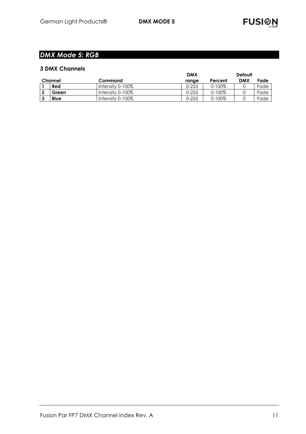## *DMX Mode 5: RGB*

| <b>3 DMX Channels</b> |                     |            |             |                |      |
|-----------------------|---------------------|------------|-------------|----------------|------|
|                       |                     | <b>DMX</b> |             | <b>Default</b> |      |
| Channel               | Command             | range      | Percent     | <b>DMX</b>     | Fade |
| Red                   | Intensity 0-100%    | $0 - 255$  | $0 - 100\%$ |                | Fade |
| Green                 | Intensity 0-100%    | $0 - 255$  | $0 - 100\%$ |                | Fade |
| <b>Blue</b>           | Intensity $0-100\%$ | $0 - 255$  | $0 - 100\%$ |                | Fade |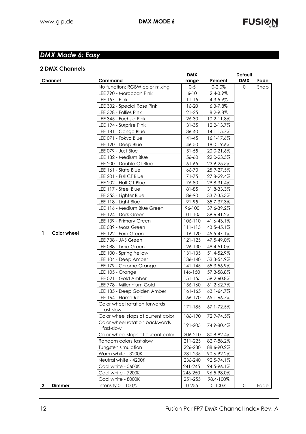# *DMX Mode 6: Easy*

|  | <b>2 DMX Channels</b> |
|--|-----------------------|

|                |                                    | <b>DMX</b>  |                 | <b>Default</b> |      |
|----------------|------------------------------------|-------------|-----------------|----------------|------|
| <b>Channel</b> | Command                            | range       | Percent         | <b>DMX</b>     | Fade |
|                | No function: RGBW color mixing     | $0-5$       | $0 - 2.0\%$     | $\Omega$       | Snap |
|                | LEE 790 - Moroccan Pink            | $6 - 10$    | 2.4-3.9%        |                |      |
|                | <b>LEE 157 - Pink</b>              | $11 - 15$   | 4.3-5.9%        |                |      |
|                | LEE 332 - Special Rose Pink        | $16 - 20$   | $6.3 - 7.8\%$   |                |      |
|                | LEE 328 - Follies Pink             | $21 - 25$   | 8.2-9.8%        |                |      |
|                | LEE 345 - Fuchsia Pink             | 26-30       | 10.2-11.8%      |                |      |
|                | LEE 194 - Surprise Pink            | $31 - 35$   | 12.2-13.7%      |                |      |
|                | LEE 181 - Congo Blue               | 36-40       | 14.1-15.7%      |                |      |
|                | LEE 071 - Tokyo Blue               | $41 - 45$   | $16.1 - 17.6\%$ |                |      |
|                | LEE 120 - Deep Blue                | 46-50       | 18.0-19.6%      |                |      |
|                | LEE 079 - Just Blue                | $51 - 55$   | 20.0-21.6%      |                |      |
|                | LEE 132 - Medium Blue              | 56-60       | 22.0-23.5%      |                |      |
|                | LEE 200 - Double CT Blue           | $61 - 65$   | 23.9-25.5%      |                |      |
|                | LEE 161 - Slate Blue               | 66-70       | 25.9-27.5%      |                |      |
|                | LEE 201 - Full CT Blue             | 71-75       | 27.8-29.4%      |                |      |
|                | LEE 202 - Half CT Blue             | 76-80       | 29.8-31.4%      |                |      |
|                | LEE 117 - Steel Blue               | 81-85       | 31.8-33.3%      |                |      |
|                | LEE 353 - Lighter Blue             | 86-90       | 33.7-35.3%      |                |      |
|                | LEE 118 - Light Blue               | 91-95       | 35.7-37.3%      |                |      |
|                | LEE 116 - Medium Blue Green        | 96-100      | 37.6-39.2%      |                |      |
|                | LEE 124 - Dark Green               | 101-105     | 39.6-41.2%      |                |      |
|                | LEE 139 - Primary Green            | 106-110     | 41.6-43.1%      |                |      |
|                | LEE 089 - Moss Green               | $111 - 115$ | 43.5-45.1%      |                |      |
| Color wheel    | LEE 122 - Fern Green               | 116-120     | 45.5-47.1%      |                |      |
|                | LEE 738 - JAS Green                | 121-125     | 47.5-49.0%      |                |      |
|                | LEE 088 - Lime Green               | 126-130     | 49.4-51.0%      |                |      |
|                | LEE 100 - Spring Yellow            | 131-135     | 51.4-52.9%      |                |      |
|                | LEE 104 - Deep Amber               | 136-140     | 53.3-54.9%      |                |      |
|                | LEE 179 - Chrome Orange            | $141 - 145$ | 55.3-56.9%      |                |      |
|                | LEE 105 - Orange                   | 146-150     | 57.3-58.8%      |                |      |
|                | LEE 021 - Gold Amber               | $151 - 155$ | 59.2-60.8%      |                |      |
|                | LEE 778 - Millennium Gold          | 156-160     | 61.2-62.7%      |                |      |
|                | LEE 135 - Deep Golden Amber        | $161 - 165$ | 63.1-64.7%      |                |      |
|                | LEE 164 - Flame Red                | 166-170     | 65.1-66.7%      |                |      |
|                | Color wheel rotation forwards      |             |                 |                |      |
|                | fast-slow                          | 171-185     | 67.1-72.5%      |                |      |
|                | Color wheel stops at current color | 186-190     | 72.9-74.5%      |                |      |
|                | Color wheel rotation backwards     |             |                 |                |      |
|                | fast-slow                          | 191-205     | 74.9-80.4%      |                |      |
|                | Color wheel stops at current color | 206-210     | 80.8-82.4%      |                |      |
|                | Random colors fast-slow            | 211-225     | 82.7-88.2%      |                |      |
|                | Tungsten simulation                | 226-230     | 88.6-90.2%      |                |      |
|                | Warm white - 3200K                 | 231-235     | 90.6-92.2%      |                |      |
|                | Neutral white - 4200K              | 236-240     | 92.5-94.1%      |                |      |
|                | Cool white - 5600K                 | 241-245     | 94.5-96.1%      |                |      |
|                | Cool white - 7200K                 | 246-250     | 96.5-98.0%      |                |      |
|                | Cool white - 8000K                 | 251-255     | 98.4-100%       |                |      |
| Dimmer         | Intensity $0 - 100\%$              | $0 - 255$   | $0 - 100\%$     | 0              | Fade |
| $\mathbf{2}$   |                                    |             |                 |                |      |